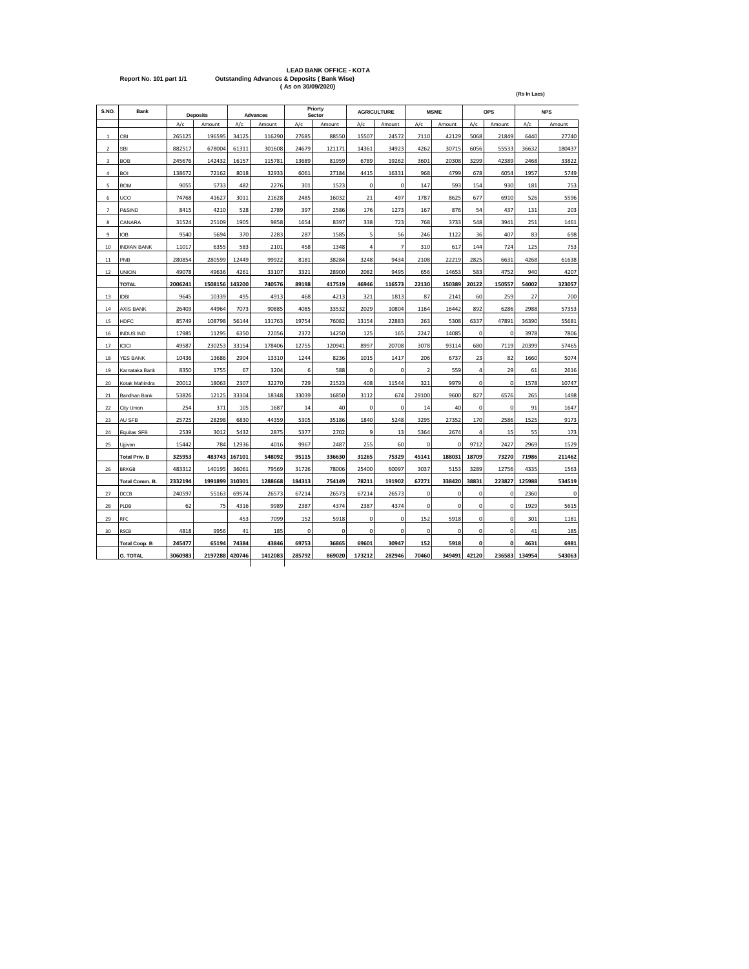|                         | <b>LEAD BANK OFFICE - KOTA</b>                         |
|-------------------------|--------------------------------------------------------|
| Report No. 101 part 1/1 | <b>Outstanding Advances &amp; Deposits (Bank Wise)</b> |
|                         | (As on 30/09/2020)                                     |

| S.NO.          | <b>Bank</b>          |         | <b>Deposits</b> |        | <b>Advances</b> |        | Priorty<br>Sector |             | <b>AGRICULTURE</b> |                         | <b>MSME</b> |                | <b>OPS</b>   |        | <b>NPS</b> |
|----------------|----------------------|---------|-----------------|--------|-----------------|--------|-------------------|-------------|--------------------|-------------------------|-------------|----------------|--------------|--------|------------|
|                |                      | A/c     | Amount          | A/c    | Amount          | A/c    | Amount            | A/c         | Amount             | A/c                     | Amount      | A/c            | Amount       | A/c    | Amount     |
| $\mathbf 1$    | CBI                  | 265125  | 196595          | 34125  | 116290          | 27685  | 88550             | 15507       | 24572              | 7110                    | 42129       | 5068           | 21849        | 6440   | 27740      |
| $\mathbf 2$    | SBI                  | 882517  | 678004          | 61311  | 301608          | 24679  | 121171            | 14361       | 34923              | 4262                    | 30715       | 6056           | 55533        | 36632  | 180437     |
| 3              | <b>BOB</b>           | 245676  | 142432          | 16157  | 115781          | 13689  | 81959             | 6789        | 19262              | 3601                    | 20308       | 3299           | 42389        | 2468   | 33822      |
| 4              | <b>BOI</b>           | 138672  | 72162           | 8018   | 32933           | 6061   | 27184             | 4415        | 16331              | 968                     | 4799        | 678            | 6054         | 1957   | 5749       |
| 5              | <b>BOM</b>           | 9055    | 5733            | 482    | 2276            | 301    | 1523              | 0           | 0                  | 147                     | 593         | 154            | 930          | 181    | 753        |
| 6              | UCO                  | 74768   | 41627           | 3011   | 21628           | 2485   | 16032             | 21          | 497                | 1787                    | 8625        | 677            | 6910         | 526    | 5596       |
| $\overline{7}$ | P&SIND               | 8415    | 4210            | 528    | 2789            | 397    | 2586              | 176         | 1273               | 167                     | 876         | 54             | 437          | 131    | 203        |
| 8              | CANARA               | 31524   | 25109           | 1905   | 9858            | 1654   | 8397              | 338         | 723                | 768                     | 3733        | 548            | 3941         | 251    | 1461       |
| 9              | IOB                  | 9540    | 5694            | 370    | 2283            | 287    | 1585              | 5           | 56                 | 246                     | 1122        | 36             | 407          | 83     | 698        |
| 10             | <b>INDIAN BANK</b>   | 11017   | 6355            | 583    | 2101            | 458    | 1348              | 4           | $\overline{7}$     | 310                     | 617         | 144            | 724          | 125    | 753        |
| 11             | PNB                  | 280854  | 280599          | 12449  | 99922           | 8181   | 38284             | 3248        | 9434               | 2108                    | 22219       | 2825           | 6631         | 4268   | 61638      |
| 12             | <b>UNION</b>         | 49078   | 49636           | 4261   | 33107           | 3321   | 28900             | 2082        | 9495               | 656                     | 14653       | 583            | 4752         | 940    | 4207       |
|                | <b>TOTAL</b>         | 2006241 | 1508156         | 143200 | 740576          | 89198  | 417519            | 46946       | 116573             | 22130                   | 150389      | 20122          | 150557       | 54002  | 323057     |
| 13             | <b>IDBI</b>          | 9645    | 10339           | 495    | 4913            | 468    | 4213              | 321         | 1813               | 87                      | 2141        | 60             | 259          | 27     | 700        |
| 14             | <b>AXIS BANK</b>     | 26403   | 44964           | 7073   | 90885           | 4085   | 33532             | 2029        | 10804              | 1164                    | 16442       | 892            | 6286         | 2988   | 57353      |
| 15             | <b>HDFC</b>          | 85749   | 108798          | 56144  | 131763          | 19754  | 76082             | 13154       | 22883              | 263                     | 5308        | 6337           | 47891        | 36390  | 55681      |
| 16             | <b>INDUS IND</b>     | 17985   | 11295           | 6350   | 22056           | 2372   | 14250             | 125         | 165                | 2247                    | 14085       | 0              | $\mathbf 0$  | 3978   | 7806       |
| 17             | <b>ICICI</b>         | 49587   | 230253          | 33154  | 178406          | 12755  | 120941            | 8997        | 20708              | 3078                    | 93114       | 680            | 7119         | 20399  | 57465      |
| 18             | <b>YES BANK</b>      | 10436   | 13686           | 2904   | 13310           | 1244   | 8236              | 1015        | 1417               | 206                     | 6737        | 23             | 82           | 1660   | 5074       |
| 19             | Karnataka Bank       | 8350    | 1755            | 67     | 3204            | 6      | 588               | $\mathbf 0$ | $\pmb{0}$          | $\overline{\mathbf{2}}$ | 559         | $\overline{4}$ | 29           | 61     | 2616       |
| 20             | Kotak Mahindra       | 20012   | 18063           | 2307   | 32270           | 729    | 21523             | 408         | 11544              | 321                     | 9979        | 0              | 0            | 1578   | 10747      |
| 21             | Bandhan Bank         | 53826   | 12125           | 33304  | 18348           | 33039  | 16850             | 3112        | 674                | 29100                   | 9600        | 827            | 6576         | 265    | 1498       |
| 22             | City Union           | 254     | 371             | 105    | 1687            | 14     | 40                | 0           | 0                  | 14                      | 40          | $\mathbf 0$    | $\mathbf 0$  | 91     | 1647       |
| 23             | AU SFB               | 25725   | 28298           | 6830   | 44359           | 5305   | 35186             | 1840        | 5248               | 3295                    | 27352       | 170            | 2586         | 1525   | 9173       |
| 24             | Equitas SFB          | 2539    | 3012            | 5432   | 2875            | 5377   | 2702              | 9           | 13                 | 5364                    | 2674        | 4              | 15           | 55     | 173        |
| 25             | Ujjivan              | 15442   | 784             | 12936  | 4016            | 9967   | 2487              | 255         | 60                 | 0                       | 0           | 9712           | 2427         | 2969   | 1529       |
|                | <b>Total Priv. B</b> | 325953  | 483743          | 167101 | 548092          | 95115  | 336630            | 31265       | 75329              | 45141                   | 188031      | 18709          | 73270        | 71986  | 211462     |
| 26             | <b>BRKGB</b>         | 483312  | 140195          | 36061  | 79569           | 31726  | 78006             | 25400       | 60097              | 3037                    | 5153        | 3289           | 12756        | 4335   | 1563       |
|                | Total Comm. B.       | 2332194 | 1991899         | 310301 | 1288668         | 184313 | 754149            | 78211       | 191902             | 67271                   | 338420      | 38831          | 223827       | 125988 | 534519     |
| 27             | DCCB                 | 240597  | 55163           | 69574  | 26573           | 67214  | 26573             | 67214       | 26573              | $\mathbf 0$             | $\mathbf 0$ | 0              | 0            | 2360   | 0          |
| 28             | PLDB                 | 62      | 75              | 4316   | 9989            | 2387   | 4374              | 2387        | 4374               | 0                       | $\mathbf 0$ | 0              | $\mathbf 0$  | 1929   | 5615       |
| 29             | RFC                  |         |                 | 453    | 7099            | 152    | 5918              | 0           | 0                  | 152                     | 5918        | $\mathbf 0$    | $\mathbf 0$  | 301    | 1181       |
| 30             | <b>RSCB</b>          | 4818    | 9956            | 41     | 185             | 0      | 0                 | 0           | 0                  | 0                       | 0           | 0              | 0            | 41     | 185        |
|                | <b>Total Coop. B</b> | 245477  | 65194           | 74384  | 43846           | 69753  | 36865             | 69601       | 30947              | 152                     | 5918        | 0              | $\mathbf{0}$ | 4631   | 6981       |
|                | <b>G. TOTAL</b>      | 3060983 | 2197288         | 420746 | 1412083         | 285792 | 869020            | 173212      | 282946             | 70460                   | 349491      | 42120          | 236583       | 134954 | 543063     |
|                |                      |         |                 |        |                 |        |                   |             |                    |                         |             |                |              |        |            |

**(Rs In Lacs)**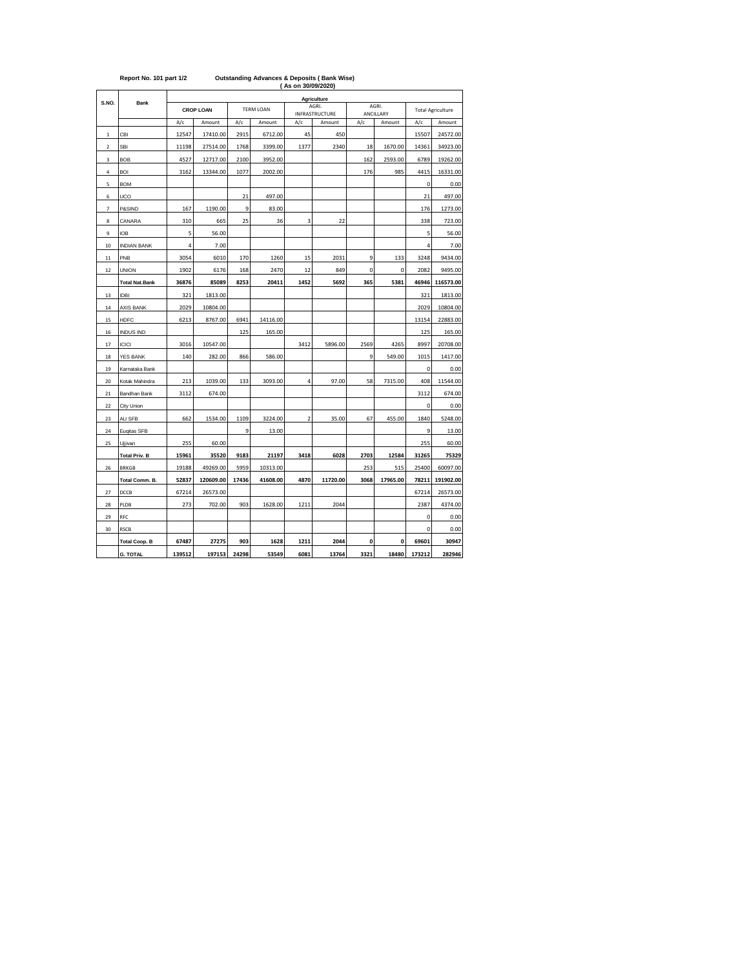|                         |                       | (As on 30/09/2020) |                  |       |                  |                |                         |      |                    |             |                          |  |  |
|-------------------------|-----------------------|--------------------|------------------|-------|------------------|----------------|-------------------------|------|--------------------|-------------|--------------------------|--|--|
| S.NO.                   | <b>Bank</b>           |                    |                  |       |                  |                | Agriculture             |      |                    |             |                          |  |  |
|                         |                       |                    | <b>CROP LOAN</b> |       | <b>TERM LOAN</b> |                | AGRI.<br>INFRASTRUCTURE |      | AGRI.<br>ANCILLARY |             | <b>Total Agriculture</b> |  |  |
|                         |                       | A/c                | Amount           | A/c   | Amount           | A/c            | Amount                  | A/c  | Amount             | A/c         | Amount                   |  |  |
| $\,$ 1                  | CBI                   | 12547              | 17410.00         | 2915  | 6712.00          | 45             | 450                     |      |                    | 15507       | 24572.00                 |  |  |
| $\overline{\mathbf{c}}$ | <b>SBI</b>            | 11198              | 27514.00         | 1768  | 3399.00          | 1377           | 2340                    | 18   | 1670.00            | 14361       | 34923.00                 |  |  |
| 3                       | <b>BOB</b>            | 4527               | 12717.00         | 2100  | 3952.00          |                |                         | 162  | 2593.00            | 6789        | 19262.00                 |  |  |
| 4                       | <b>BOI</b>            | 3162               | 13344.00         | 1077  | 2002.00          |                |                         | 176  | 985                | 4415        | 16331.00                 |  |  |
| 5                       | <b>BOM</b>            |                    |                  |       |                  |                |                         |      |                    | $\mathbf 0$ | 0.00                     |  |  |
| 6                       | UCO                   |                    |                  | 21    | 497.00           |                |                         |      |                    | 21          | 497.00                   |  |  |
| $\overline{7}$          | P&SIND                | 167                | 1190.00          | 9     | 83.00            |                |                         |      |                    | 176         | 1273.00                  |  |  |
| 8                       | CANARA                | 310                | 665              | 25    | 36               | 3              | 22                      |      |                    | 338         | 723.00                   |  |  |
| 9                       | <b>IOB</b>            | 5                  | 56.00            |       |                  |                |                         |      |                    | 5           | 56.00                    |  |  |
| 10                      | <b>INDIAN BANK</b>    | 4                  | 7.00             |       |                  |                |                         |      |                    | 4           | 7.00                     |  |  |
| $11\,$                  | PNB                   | 3054               | 6010             | 170   | 1260             | 15             | 2031                    | 9    | 133                | 3248        | 9434.00                  |  |  |
| 12                      | <b>UNION</b>          | 1902               | 6176             | 168   | 2470             | 12             | 849                     | 0    | 0                  | 2082        | 9495.00                  |  |  |
|                         | <b>Total Nat.Bank</b> | 36876              | 85089            | 8253  | 20411            | 1452           | 5692                    | 365  | 5381               | 46946       | 116573.00                |  |  |
| 13                      | <b>IDBI</b>           | 321                | 1813.00          |       |                  |                |                         |      |                    | 321         | 1813.00                  |  |  |
| 14                      | <b>AXIS BANK</b>      | 2029               | 10804.00         |       |                  |                |                         |      |                    | 2029        | 10804.00                 |  |  |
| 15                      | <b>HDFC</b>           | 6213               | 8767.00          | 6941  | 14116.00         |                |                         |      |                    | 13154       | 22883.00                 |  |  |
| 16                      | <b>INDUS IND</b>      |                    |                  | 125   | 165.00           |                |                         |      |                    | 125         | 165.00                   |  |  |
| 17                      | <b>ICICI</b>          | 3016               | 10547.00         |       |                  | 3412           | 5896.00                 | 2569 | 4265               | 8997        | 20708.00                 |  |  |
| 18                      | <b>YES BANK</b>       | 140                | 282.00           | 866   | 586.00           |                |                         | 9    | 549.00             | 1015        | 1417.00                  |  |  |
| 19                      | Karnataka Bank        |                    |                  |       |                  |                |                         |      |                    | 0           | 0.00                     |  |  |
| 20                      | Kotak Mahindra        | 213                | 1039.00          | 133   | 3093.00          | 4              | 97.00                   | 58   | 7315.00            | 408         | 11544.00                 |  |  |
| 21                      | Bandhan Bank          | 3112               | 674.00           |       |                  |                |                         |      |                    | 3112        | 674.00                   |  |  |
| 22                      | City Union            |                    |                  |       |                  |                |                         |      |                    | $\mathsf 0$ | 0.00                     |  |  |
| 23                      | AU SFB                | 662                | 1534.00          | 1109  | 3224.00          | $\overline{2}$ | 35.00                   | 67   | 455.00             | 1840        | 5248.00                  |  |  |
| 24                      | Euqitas SFB           |                    |                  | 9     | 13.00            |                |                         |      |                    | 9           | 13.00                    |  |  |
| 25                      | Ujjivan               | 255                | 60.00            |       |                  |                |                         |      |                    | 255         | 60.00                    |  |  |
|                         | <b>Total Priv. B</b>  | 15961              | 35520            | 9183  | 21197            | 3418           | 6028                    | 2703 | 12584              | 31265       | 75329                    |  |  |
| 26                      | <b>BRKGB</b>          | 19188              | 49269.00         | 5959  | 10313.00         |                |                         | 253  | 515                | 25400       | 60097.00                 |  |  |
|                         | Total Comm. B.        | 52837              | 120609.00        | 17436 | 41608.00         | 4870           | 11720.00                | 3068 | 17965.00           | 78211       | 191902.00                |  |  |
| 27                      | DCCB                  | 67214              | 26573.00         |       |                  |                |                         |      |                    | 67214       | 26573.00                 |  |  |
| 28                      | PLDB                  | 273                | 702.00           | 903   | 1628.00          | 1211           | 2044                    |      |                    | 2387        | 4374.00                  |  |  |
| 29                      | RFC                   |                    |                  |       |                  |                |                         |      |                    | 0           | 0.00                     |  |  |
| 30                      | <b>RSCB</b>           |                    |                  |       |                  |                |                         |      |                    | $\mathbf 0$ | 0.00                     |  |  |
|                         | <b>Total Coop. B</b>  | 67487              | 27275            | 903   | 1628             | 1211           | 2044                    | 0    | 0                  | 69601       | 30947                    |  |  |
|                         | <b>G. TOTAL</b>       | 139512             | 197153           | 24298 | 53549            | 6081           | 13764                   | 3321 | 18480              | 173212      | 282946                   |  |  |

## **Report No. 101 part 1/2 Outstanding Advances & Deposits ( Bank Wise)**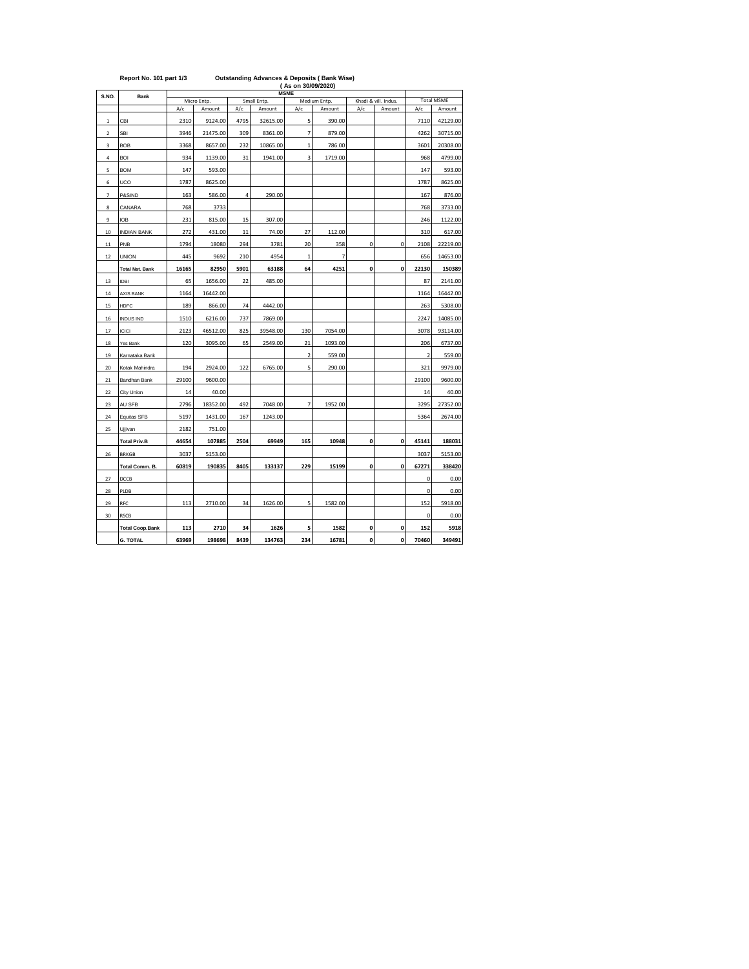| S.NO.                    | <b>Bank</b>            |       | Micro Entp. |                | <b>MSME</b><br>Small Entp. | Khadi & vill. Indus. | <b>Total MSME</b>      |     |        |                |          |
|--------------------------|------------------------|-------|-------------|----------------|----------------------------|----------------------|------------------------|-----|--------|----------------|----------|
|                          |                        | A/c   | Amount      | A/c            | Amount                     | A/c                  | Medium Entp.<br>Amount | A/c | Amount | A/c            | Amount   |
| $\,$ 1                   | CBI                    | 2310  | 9124.00     | 4795           | 32615.00                   | 5                    | 390.00                 |     |        | 7110           | 42129.00 |
| $\mathbf 2$              | SBI                    | 3946  | 21475.00    | 309            | 8361.00                    | 7                    | 879.00                 |     |        | 4262           | 30715.00 |
| 3                        | <b>BOB</b>             | 3368  | 8657.00     | 232            | 10865.00                   | $\mathbf{1}$         | 786.00                 |     |        | 3601           | 20308.00 |
| 4                        | <b>BOI</b>             | 934   | 1139.00     | 31             | 1941.00                    | 3                    | 1719.00                |     |        | 968            | 4799.00  |
| 5                        | <b>BOM</b>             | 147   | 593.00      |                |                            |                      |                        |     |        | 147            | 593.00   |
| 6                        | UCO                    | 1787  | 8625.00     |                |                            |                      |                        |     |        | 1787           | 8625.00  |
| $\overline{\phantom{a}}$ | P&SIND                 | 163   | 586.00      | $\overline{4}$ | 290.00                     |                      |                        |     |        | 167            | 876.00   |
| 8                        | CANARA                 | 768   | 3733        |                |                            |                      |                        |     |        | 768            | 3733.00  |
| 9                        | <b>IOB</b>             | 231   | 815.00      | 15             | 307.00                     |                      |                        |     |        | 246            | 1122.00  |
| 10                       | <b>INDIAN BANK</b>     | 272   | 431.00      | 11             | 74.00                      | 27                   | 112.00                 |     |        | 310            | 617.00   |
| $11$                     | PNB                    | 1794  | 18080       | 294            | 3781                       | 20                   | 358                    | 0   | 0      | 2108           | 22219.00 |
| $12\,$                   | <b>UNION</b>           | 445   | 9692        | 210            | 4954                       | $\mathbf{1}$         | 7                      |     |        | 656            | 14653.00 |
|                          | <b>Total Nat. Bank</b> | 16165 | 82950       | 5901           | 63188                      | 64                   | 4251                   | 0   | 0      | 22130          | 150389   |
| 13                       | <b>IDBI</b>            | 65    | 1656.00     | 22             | 485.00                     |                      |                        |     |        | 87             | 2141.00  |
| 14                       | <b>AXIS BANK</b>       | 1164  | 16442.00    |                |                            |                      |                        |     |        | 1164           | 16442.00 |
| 15                       | <b>HDFC</b>            | 189   | 866.00      | 74             | 4442.00                    |                      |                        |     |        | 263            | 5308.00  |
| 16                       | <b>INDUS IND</b>       | 1510  | 6216.00     | 737            | 7869.00                    |                      |                        |     |        | 2247           | 14085.00 |
| 17                       | <b>ICICI</b>           | 2123  | 46512.00    | 825            | 39548.00                   | 130                  | 7054.00                |     |        | 3078           | 93114.00 |
| 18                       | Yes Bank               | 120   | 3095.00     | 65             | 2549.00                    | 21                   | 1093.00                |     |        | 206            | 6737.00  |
| 19                       | Karnataka Bank         |       |             |                |                            | $\overline{2}$       | 559.00                 |     |        | $\overline{2}$ | 559.00   |
| 20                       | Kotak Mahindra         | 194   | 2924.00     | 122            | 6765.00                    | 5                    | 290.00                 |     |        | 321            | 9979.00  |
| 21                       | Bandhan Bank           | 29100 | 9600.00     |                |                            |                      |                        |     |        | 29100          | 9600.00  |
| 22                       | City Union             | 14    | 40.00       |                |                            |                      |                        |     |        | 14             | 40.00    |
| 23                       | AU SFB                 | 2796  | 18352.00    | 492            | 7048.00                    | $\overline{7}$       | 1952.00                |     |        | 3295           | 27352.00 |
| 24                       | Equitas SFB            | 5197  | 1431.00     | 167            | 1243.00                    |                      |                        |     |        | 5364           | 2674.00  |
| 25                       | Ujjivan                | 2182  | 751.00      |                |                            |                      |                        |     |        |                |          |
|                          | <b>Total Priv.B</b>    | 44654 | 107885      | 2504           | 69949                      | 165                  | 10948                  | 0   | 0      | 45141          | 188031   |
| 26                       | <b>BRKGB</b>           | 3037  | 5153.00     |                |                            |                      |                        |     |        | 3037           | 5153.00  |
|                          | Total Comm. B.         | 60819 | 190835      | 8405           | 133137                     | 229                  | 15199                  | 0   | 0      | 67271          | 338420   |
| 27                       | DCCB                   |       |             |                |                            |                      |                        |     |        | 0              | 0.00     |
| 28                       | PLDB                   |       |             |                |                            |                      |                        |     |        | 0              | 0.00     |
| 29                       | RFC                    | 113   | 2710.00     | 34             | 1626.00                    | 5                    | 1582.00                |     |        | 152            | 5918.00  |
| 30                       | <b>RSCB</b>            |       |             |                |                            |                      |                        |     |        | 0              | 0.00     |
|                          | <b>Total Coop.Bank</b> | 113   | 2710        | 34             | 1626                       | 5                    | 1582                   | 0   | 0      | 152            | 5918     |
|                          | <b>G. TOTAL</b>        | 63969 | 198698      | 8439           | 134763                     | 234                  | 16781                  | O   | 0      | 70460          | 349491   |

## **Report No. 101 part 1/3 Outstanding Advances & Deposits ( Bank Wise)**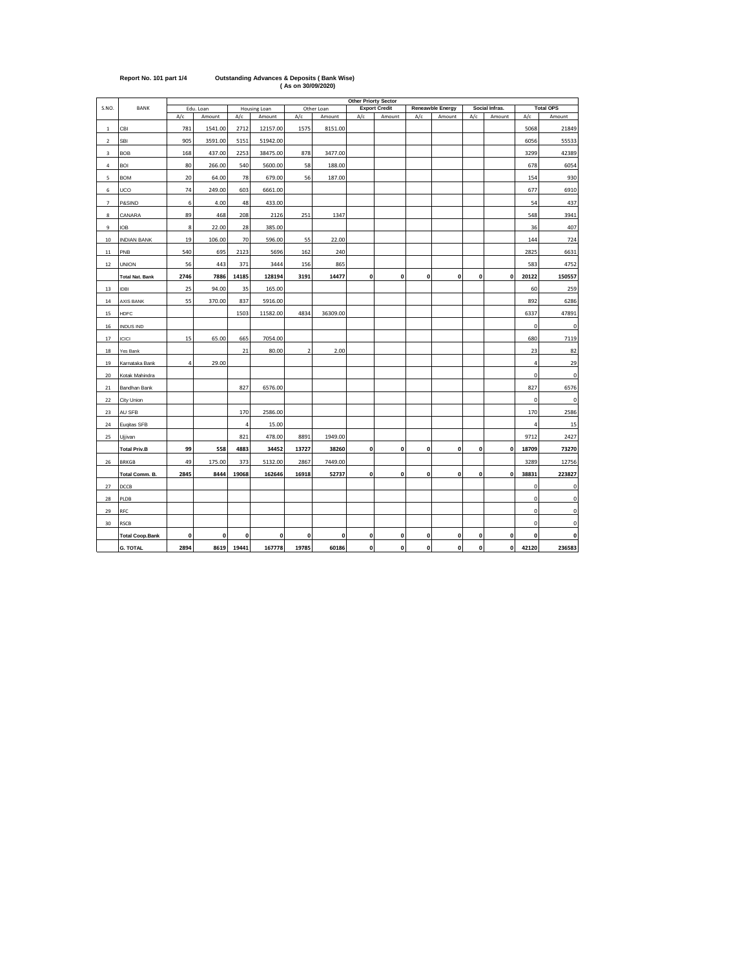|                |                        | <b>Other Priorty Sector</b> |           |                |              |       |            |              |                      |              |                  |              |                |       |                  |
|----------------|------------------------|-----------------------------|-----------|----------------|--------------|-------|------------|--------------|----------------------|--------------|------------------|--------------|----------------|-------|------------------|
| S.NO.          | <b>BANK</b>            |                             | Edu. Loan |                | Housing Loan |       | Other Loan |              | <b>Export Credit</b> |              | Reneawble Energy |              | Social Infras. |       | <b>Total OPS</b> |
|                |                        | A/c                         | Amount    | A/c            | Amount       | A/c   | Amount     | A/c          | Amount               | A/c          | Amount           | A/c          | Amount         | A/c   | Amount           |
| $\mathbf 1$    | CBI                    | 781                         | 1541.00   | 2712           | 12157.00     | 1575  | 8151.00    |              |                      |              |                  |              |                | 5068  | 21849            |
| $\sqrt{2}$     | SBI                    | 905                         | 3591.00   | 5151           | 51942.00     |       |            |              |                      |              |                  |              |                | 6056  | 55533            |
| 3              | <b>BOB</b>             | 168                         | 437.00    | 2253           | 38475.00     | 878   | 3477.00    |              |                      |              |                  |              |                | 3299  | 42389            |
| 4              | <b>BOI</b>             | 80                          | 266.00    | 540            | 5600.00      | 58    | 188.00     |              |                      |              |                  |              |                | 678   | 6054             |
| 5              | <b>BOM</b>             | 20                          | 64.00     | 78             | 679.00       | 56    | 187.00     |              |                      |              |                  |              |                | 154   | 930              |
| 6              | UCO                    | 74                          | 249.00    | 603            | 6661.00      |       |            |              |                      |              |                  |              |                | 677   | 6910             |
| $\overline{7}$ | P&SIND                 | $\,6\,$                     | 4.00      | 48             | 433.00       |       |            |              |                      |              |                  |              |                | 54    | 437              |
| 8              | CANARA                 | 89                          | 468       | 208            | 2126         | 251   | 1347       |              |                      |              |                  |              |                | 548   | 3941             |
| $\overline{9}$ | <b>IOB</b>             | 8                           | 22.00     | 28             | 385.00       |       |            |              |                      |              |                  |              |                | 36    | 407              |
| 10             | <b>INDIAN BANK</b>     | 19                          | 106.00    | 70             | 596.00       | 55    | 22.00      |              |                      |              |                  |              |                | 144   | 724              |
| 11             | PNB                    | 540                         | 695       | 2123           | 5696         | 162   | 240        |              |                      |              |                  |              |                | 2825  | 6631             |
| 12             | <b>UNION</b>           | 56                          | 443       | 371            | 3444         | 156   | 865        |              |                      |              |                  |              |                | 583   | 4752             |
|                | <b>Total Nat. Bank</b> | 2746                        | 7886      | 14185          | 128194       | 3191  | 14477      | $\mathbf{0}$ | $\mathbf{0}$         | $\mathbf 0$  | $\mathbf{0}$     | $\mathbf{0}$ | $\mathbf{0}$   | 20122 | 150557           |
| 13             | <b>IDBI</b>            | 25                          | 94.00     | 35             | 165.00       |       |            |              |                      |              |                  |              |                | 60    | 259              |
| 14             | AXIS BANK              | 55                          | 370.00    | 837            | 5916.00      |       |            |              |                      |              |                  |              |                | 892   | 6286             |
| 15             | <b>HDFC</b>            |                             |           | 1503           | 11582.00     | 4834  | 36309.00   |              |                      |              |                  |              |                | 6337  | 47891            |
| 16             | <b>INDUS IND</b>       |                             |           |                |              |       |            |              |                      |              |                  |              |                | 0     | $\mathbf 0$      |
| 17             | <b>ICICI</b>           | 15                          | 65.00     | 665            | 7054.00      |       |            |              |                      |              |                  |              |                | 680   | 7119             |
| 18             | Yes Bank               |                             |           | 21             | 80.00        | 2     | 2.00       |              |                      |              |                  |              |                | 23    | 82               |
| 19             | Karnataka Bank         | $\overline{4}$              | 29.00     |                |              |       |            |              |                      |              |                  |              |                | 4     | 29               |
| 20             | Kotak Mahindra         |                             |           |                |              |       |            |              |                      |              |                  |              |                | 0     | 0                |
| 21             | Bandhan Bank           |                             |           | 827            | 6576.00      |       |            |              |                      |              |                  |              |                | 827   | 6576             |
| 22             | City Union             |                             |           |                |              |       |            |              |                      |              |                  |              |                | 0     | $\mathbf 0$      |
| 23             | AU SFB                 |                             |           | 170            | 2586.00      |       |            |              |                      |              |                  |              |                | 170   | 2586             |
| 24             | Euqitas SFB            |                             |           | $\overline{4}$ | 15.00        |       |            |              |                      |              |                  |              |                | 4     | 15               |
| 25             | Ujjivan                |                             |           | 821            | 478.00       | 8891  | 1949.00    |              |                      |              |                  |              |                | 9712  | 2427             |
|                | <b>Total Priv.B</b>    | 99                          | 558       | 4883           | 34452        | 13727 | 38260      | $\mathbf{0}$ | 0                    | $\mathbf{0}$ | $\mathbf{0}$     | $\mathbf{0}$ | $\mathbf{0}$   | 18709 | 73270            |
| 26             | <b>BRKGB</b>           | 49                          | 175.00    | 373            | 5132.00      | 2867  | 7449.00    |              |                      |              |                  |              |                | 3289  | 12756            |
|                | Total Comm. B.         | 2845                        | 8444      | 19068          | 162646       | 16918 | 52737      | 0            | 0                    | 0            | $\pmb{0}$        | 0            | $\pmb{0}$      | 38831 | 223827           |
| 27             | DCCB                   |                             |           |                |              |       |            |              |                      |              |                  |              |                | 0     | 0                |
| 28             | PLDB                   |                             |           |                |              |       |            |              |                      |              |                  |              |                | 0     | $\mathbf 0$      |
| 29             | RFC                    |                             |           |                |              |       |            |              |                      |              |                  |              |                | 0     | 0                |
| 30             | <b>RSCB</b>            |                             |           |                |              |       |            |              |                      |              |                  |              |                | 0     | 0                |
|                | <b>Total Coop.Bank</b> | 0                           | 0         | 0              | 0            | 0     | 0          | 0            | 0                    | 0            | $\pmb{0}$        | 0            | 0              | 0     | 0                |
|                | <b>G. TOTAL</b>        | 2894                        | 8619      | 19441          | 167778       | 19785 | 60186      | O            | 0                    | 0            | $\mathbf{0}$     | 0            | $\mathbf 0$    | 42120 | 236583           |

## **Report No. 101 part 1/4 Outstanding Advances & Deposits ( Bank Wise) ( As on 30/09/2020)**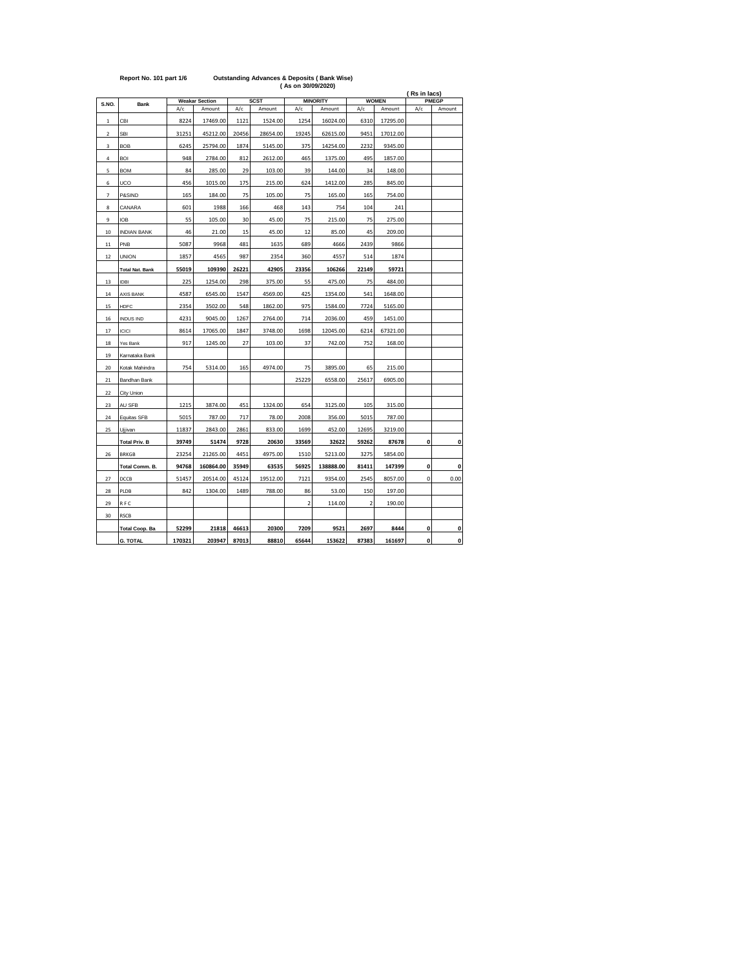|                |                        |        |                       |       |                                | (As on 30/09/2020) |           |                |              |                       |              |  |
|----------------|------------------------|--------|-----------------------|-------|--------------------------------|--------------------|-----------|----------------|--------------|-----------------------|--------------|--|
| S.NO.          |                        |        | <b>Weakar Section</b> |       | <b>SCST</b><br><b>MINORITY</b> |                    |           |                | <b>WOMEN</b> | (Rs in lacs)<br>PMEGP |              |  |
|                | <b>Bank</b>            | A/c    | Amount                | A/c   | Amount                         | A/c                | Amount    | A/c            | Amount       | A/c                   | Amount       |  |
| $\mathbf{1}$   | CBI                    | 8224   | 17469.00              | 1121  | 1524.00                        | 1254               | 16024.00  | 6310           | 17295.00     |                       |              |  |
| $\overline{2}$ | <b>SBI</b>             | 31251  | 45212.00              | 20456 | 28654.00                       | 19245              | 62615.00  | 9451           | 17012.00     |                       |              |  |
| 3              | <b>BOB</b>             | 6245   | 25794.00              | 1874  | 5145.00                        | 375                | 14254.00  | 2232           | 9345.00      |                       |              |  |
| 4              | <b>BOI</b>             | 948    | 2784.00               | 812   | 2612.00                        | 465                | 1375.00   | 495            | 1857.00      |                       |              |  |
| 5              | <b>BOM</b>             | 84     | 285.00                | 29    | 103.00                         | 39                 | 144.00    | 34             | 148.00       |                       |              |  |
| 6              | UCO                    | 456    | 1015.00               | 175   | 215.00                         | 624                | 1412.00   | 285            | 845.00       |                       |              |  |
| $\overline{7}$ | P&SIND                 | 165    | 184.00                | 75    | 105.00                         | 75                 | 165.00    | 165            | 754.00       |                       |              |  |
| 8              | CANARA                 | 601    | 1988                  | 166   | 468                            | 143                | 754       | 104            | 241          |                       |              |  |
| 9              | <b>IOB</b>             | 55     | 105.00                | 30    | 45.00                          | 75                 | 215.00    | 75             | 275.00       |                       |              |  |
| 10             | <b>INDIAN BANK</b>     | 46     | 21.00                 | 15    | 45.00                          | 12                 | 85.00     | 45             | 209.00       |                       |              |  |
| 11             | PNB                    | 5087   | 9968                  | 481   | 1635                           | 689                | 4666      | 2439           | 9866         |                       |              |  |
| 12             | <b>UNION</b>           | 1857   | 4565                  | 987   | 2354                           | 360                | 4557      | 514            | 1874         |                       |              |  |
|                | <b>Total Nat. Bank</b> | 55019  | 109390                | 26221 | 42905                          | 23356              | 106266    | 22149          | 59721        |                       |              |  |
| 13             | <b>IDBI</b>            | 225    | 1254.00               | 298   | 375.00                         | 55                 | 475.00    | 75             | 484.00       |                       |              |  |
| 14             | <b>AXIS BANK</b>       | 4587   | 6545.00               | 1547  | 4569.00                        | 425                | 1354.00   | 541            | 1648.00      |                       |              |  |
| 15             | HDFC                   | 2354   | 3502.00               | 548   | 1862.00                        | 975                | 1584.00   | 7724           | 5165.00      |                       |              |  |
| 16             | <b>INDUS IND</b>       | 4231   | 9045.00               | 1267  | 2764.00                        | 714                | 2036.00   | 459            | 1451.00      |                       |              |  |
| 17             | <b>ICICI</b>           | 8614   | 17065.00              | 1847  | 3748.00                        | 1698               | 12045.00  | 6214           | 67321.00     |                       |              |  |
| 18             | Yes Bank               | 917    | 1245.00               | 27    | 103.00                         | 37                 | 742.00    | 752            | 168.00       |                       |              |  |
| 19             | Karnataka Bank         |        |                       |       |                                |                    |           |                |              |                       |              |  |
| 20             | Kotak Mahindra         | 754    | 5314.00               | 165   | 4974.00                        | 75                 | 3895.00   | 65             | 215.00       |                       |              |  |
| 21             | Bandhan Bank           |        |                       |       |                                | 25229              | 6558.00   | 25617          | 6905.00      |                       |              |  |
| 22             | City Union             |        |                       |       |                                |                    |           |                |              |                       |              |  |
| 23             | AU SFB                 | 1215   | 3874.00               | 451   | 1324.00                        | 654                | 3125.00   | 105            | 315.00       |                       |              |  |
| 24             | Equitas SFB            | 5015   | 787.00                | 717   | 78.00                          | 2008               | 356.00    | 5015           | 787.00       |                       |              |  |
| 25             | Ujjivan                | 11837  | 2843.00               | 2861  | 833.00                         | 1699               | 452.00    | 12695          | 3219.00      |                       |              |  |
|                | <b>Total Priv. B</b>   | 39749  | 51474                 | 9728  | 20630                          | 33569              | 32622     | 59262          | 87678        | 0                     | 0            |  |
| 26             | <b>BRKGB</b>           | 23254  | 21265.00              | 4451  | 4975.00                        | 1510               | 5213.00   | 3275           | 5854.00      |                       |              |  |
|                | Total Comm. B.         | 94768  | 160864.00             | 35949 | 63535                          | 56925              | 138888.00 | 81411          | 147399       | 0                     | 0            |  |
| 27             | DCCB                   | 51457  | 20514.00              | 45124 | 19512.00                       | 7121               | 9354.00   | 2545           | 8057.00      | 0                     | 0.00         |  |
| 28             | PLDB                   | 842    | 1304.00               | 1489  | 788.00                         | 86                 | 53.00     | 150            | 197.00       |                       |              |  |
| 29             | RFC                    |        |                       |       |                                | $\overline{a}$     | 114.00    | $\overline{2}$ | 190.00       |                       |              |  |
| 30             | RSCB                   |        |                       |       |                                |                    |           |                |              |                       |              |  |
|                | <b>Total Coop. Ba</b>  | 52299  | 21818                 | 46613 | 20300                          | 7209               | 9521      | 2697           | 8444         | 0                     | 0            |  |
|                | <b>G. TOTAL</b>        | 170321 | 203947                | 87013 | 88810                          | 65644              | 153622    | 87383          | 161697       | $\mathbf{o}$          | $\mathbf{0}$ |  |

## **Report No. 101 part 1/6 Outstanding Advances & Deposits ( Bank Wise)**